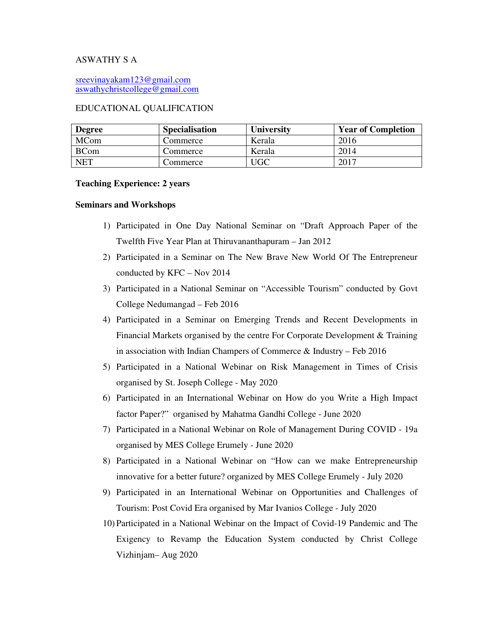# ASWATHY S A

sreevinayakam123@gmail.com aswathychristcollege@gmail.com

### EDUCATIONAL QUALIFICATION

| <b>Degree</b> | <b>Specialisation</b> | <b>University</b> | <b>Year of Completion</b> |
|---------------|-----------------------|-------------------|---------------------------|
| MCom          | Commerce              | Kerala            | 2016                      |
| <b>BCom</b>   | Commerce              | Kerala            | 2014                      |
| <b>NET</b>    | Commerce              | UGC               | 2017                      |

#### **Teaching Experience: 2 years**

## **Seminars and Workshops**

- 1) Participated in One Day National Seminar on "Draft Approach Paper of the Twelfth Five Year Plan at Thiruvananthapuram – Jan 2012
- 2) Participated in a Seminar on The New Brave New World Of The Entrepreneur conducted by KFC – Nov 2014
- 3) Participated in a National Seminar on "Accessible Tourism" conducted by Govt College Nedumangad – Feb 2016
- 4) Participated in a Seminar on Emerging Trends and Recent Developments in Financial Markets organised by the centre For Corporate Development & Training in association with Indian Champers of Commerce & Industry – Feb 2016
- 5) Participated in a National Webinar on Risk Management in Times of Crisis organised by St. Joseph College - May 2020
- 6) Participated in an International Webinar on How do you Write a High Impact factor Paper?" organised by Mahatma Gandhi College - June 2020
- 7) Participated in a National Webinar on Role of Management During COVID 19a organised by MES College Erumely - June 2020
- 8) Participated in a National Webinar on "How can we make Entrepreneurship innovative for a better future? organized by MES College Erumely - July 2020
- 9) Participated in an International Webinar on Opportunities and Challenges of Tourism: Post Covid Era organised by Mar Ivanios College - July 2020
- 10) Participated in a National Webinar on the Impact of Covid-19 Pandemic and The Exigency to Revamp the Education System conducted by Christ College Vizhinjam– Aug 2020